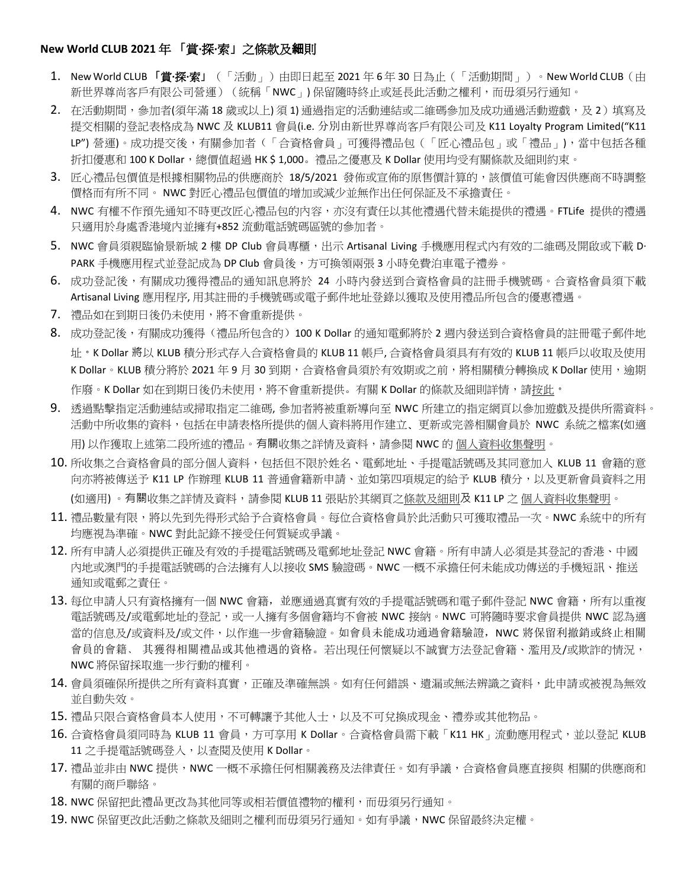## **New World CLUB 2021** 年 「賞**·**探**·**索」之條款及細則

- 1. New World CLUB 「**賞·探·索**」(「活動」) 由即日起至 2021 年 6 年 30 日為止 (「活動期間」) 。New World CLUB ( 由 新世界尊尚客戶有限公司營運)(統稱「NWC」) 保留隨時終止或延長此活動之權利,而毋須另行通知。
- 2. 在活動期間,參加者(須年滿 18歲或以上) 須 1) 涌過指定的活動連結或二維碼參加及成功涌過活動遊戲, 及 2)填寫及 提交相關的登記表格成為 NWC 及 KLUB11 會員(i.e. 分別由新世界尊尚客戶有限公司及 K11 Loyalty Program Limited("K11 LP") 營運)。成功提交後,有關參加者(「合資格會員」可獲得禮品包(「匠心禮品包」或「禮品」),當中包括各種 折扣優惠和 100 K Dollar, 總價值超過 HK \$ 1,000。禮品之優惠及 K Dollar 使用均受有關條款及細則約束。
- 3. 匠心禮品包價值是根據相關物品的供應商於 18/5/2021 發佈或宣佈的原售價計算的,該價值可能會因供應商不時調整 價格而有所不同。 NWC 對匠心禮品包價值的增加或減少並無作出任何保証及不承擔責任。
- 4. NWC 有權不作預先通知不時更改匠心禮品包的內容,亦沒有責任以其他禮遇代替未能提供的禮遇。FTLife 提供的禮遇 只適用於身處香港境內並擁有+852 流動電話號碼區號的參加者。
- 5. NWC 會員須親臨愉景新城 2 樓 DP Club 會員專櫃, 出示 Artisanal Living 手機應用程式內有效的二維碼及開啟或下載 D· PARK 手機應用程式並登記成為 DP Club 會員後,方可換領兩張 3 小時免費泊車電子禮劵。
- 6. 成功登記後,有關成功獲得禮品的通知訊息將於 24 小時內發送到合資格會員的註冊手機號碼。合資格會員須下載 Artisanal Living 應用程序, 用其註冊的手機號碼或電子郵件地址登錄以獲取及使用禮品所包含的優惠禮遇。
- 7. 禮品如在到期日後仍未使用,將不會重新提供。
- 8. 成功登記後,有關成功獲得(禮品所包含的)100 K Dollar 的通知電郵將於 2 週内發送到合資格會員的註冊電子郵件地 址。K Dollar 將以 KLUB 積分形式存入合資格會員的 KLUB 11 帳戶, 合資格會員須具有有效的 KLUB 11 帳戶以收取及使用 K Dollar。KLUB 積分將於 2021 年 9 月 30 到期,合資格會員須於有效期或之前,將相關積分轉換成 K Dollar 使用,逾期 作廢。K Dollar 如在到期日後仍未使用,將不會重新提供。有關 K Dollar 的條款及細則詳情,[請按此](https://klub-11.com/zh-hk/k-dollar/)。
- 9. 透過點擊指定活動連結或掃取指定二維碼, 參加者將被重新導向至 NWC 所建立的指定網頁以參加遊戲及提供所需資料。 活動中所收集的資料,包括在申請表格所提供的個人資料將用作建立﹑更新或完善相關會員於 NWC 系統之檔案(如適 用) 以作獲取上述第二段所述的禮品。有關收集之詳情及資料,請參閱 NWC 的 [個人資料收集聲明。](https://www.newworldclub.com.hk/uploads/files/nwc_general_pics.pdf)
- 10. 所收集之合資格會員的部分個人資料,包括但不限於姓名、電郵地址、手提電話號碼及其同意加入 KLUB 11 會籍的意 向亦將被傳送予 K11 LP 作辦理 KLUB 11 普通會籍新申請、並如第四項規定的給予 KLUB 積分,以及更新會員資料之用 (如適用)。有關收集之詳情及資料,請參閱 KLUB 11 張貼於其網頁[之條款及細則](https://klub-11.com/zh-hk/program-terms-and-conditions/)及 K11 LP 之 [個人資料收集聲明。](https://klub-11.com/zh-hk/privacy-policy/)
- 11. 禮品數量有限,將以先到先得形式給予合資格會員。每位合資格會員於此活動只可獲取禮品一次。NWC 系統中的所有 均應視為準確。NWC 對此記錄不接受任何質疑或爭議。
- 12. 所有申請人必須提供正確及有效的手提電話號碼及電郵地址登記 NWC 會籍。所有申請人必須是其登記的香港、中國 內地或澳門的手提電話號碼的合法擁有人以接收 SMS 驗證碼。NWC 一概不承擔任何未能成功傳送的手機短訊、推送 通知或電郵之責任。
- 13. 每位申請人只有資格擁有一個 NWC 會籍, 並應通過真實有效的手提電話號碼和電子郵件登記 NWC 會籍,所有以重複 電話號碼及/或電郵地址的登記,或一人擁有多個會籍均不會被 NWC 接納。NWC 可將隨時要求會員提供 NWC 認為適 當的信息及/或資料及/或文件, 以作淮一步會籍驗證。如會員未能成功通過會籍驗證, NWC 將保留利撤銷或終止相關 會員的會籍﹑ 其獲得相關禮品或其他禮遇的資格。若出現任何懷疑以不誠實方法登記會籍、濫用及/或欺詐的情況, NWC 將保留採取進一步行動的權利。
- 14. 會員須確保所提供之所有資料真實,正確及準確無誤。如有任何錯誤、遺漏或無法辨識之資料,此申請或被視為無效 並自動失效。
- 15. 禮品只限合資格會員本人使用,不可轉讓予其他人士,以及不可兌換成現金、禮券或其他物品。
- 16. 合資格會員須同時為 KLUB 11 會員, 方可享用 K Dollar。合資格會員需下載「K11 HK」流動應用程式,並以登記 KLUB 11 之手提電話號碼登入,以查閱及使用 K Dollar。
- 17. 禮品並非由 NWC 提供,NWC 一概不承擔任何相關義務及法律責任。如有爭議,合資格會員應直接與 相關的供應商和 有關的商戶聯絡。
- 18. NWC 保留把此禮品更改為其他同等或相若價值禮物的權利,而毋須另行通知。
- 19. NWC 保留更改此活動之條款及細則之權利而毋須另行通知。如有爭議,NWC 保留最終決定權。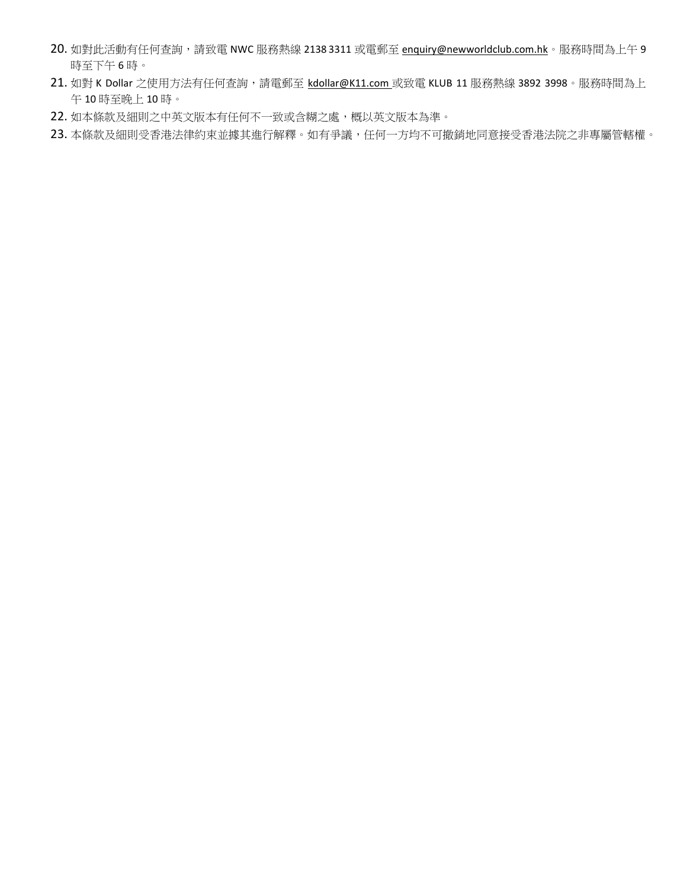- 20. 如對此活動有任何查詢,請致電 NWC 服務熱線 2138 3311 或電郵至 [enquiry@newworldclub.com.hk](mailto:enquiry@newworldclub.com.hk)。服務時間為上午 9 時至下午 6 時。
- 21. 如對 K Dollar 之使用方法有任何查詢,請電郵至 [kdollar@K11.com](mailto:kdollar@K11.com) 或致電 KLUB 11 服務熱線 3892 3998。服務時間為上 午 10 時至晚上 10 時。
- 22. 如本條款及細則之中英文版本有任何不一致或含糊之處,概以英文版本為準。
- 23. 本條款及細則受香港法律約束並據其進行解釋。如有爭議,任何一方均不可撤銷地同意接受香港法院之非專屬管轄權。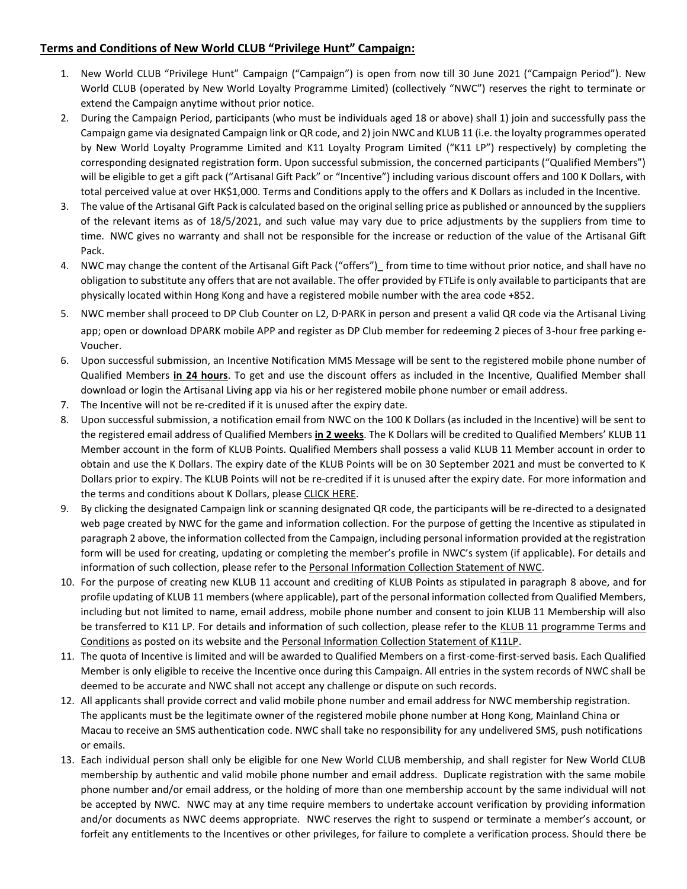## **Terms and Conditions of New World CLUB "Privilege Hunt" Campaign:**

- 1. New World CLUB "Privilege Hunt" Campaign ("Campaign") is open from now till 30 June 2021 ("Campaign Period"). New World CLUB (operated by New World Loyalty Programme Limited) (collectively "NWC") reserves the right to terminate or extend the Campaign anytime without prior notice.
- 2. During the Campaign Period, participants (who must be individuals aged 18 or above) shall 1) join and successfully pass the Campaign game via designated Campaign link or QR code, and 2) join NWC and KLUB 11 (i.e. the loyalty programmes operated by New World Loyalty Programme Limited and K11 Loyalty Program Limited ("K11 LP") respectively) by completing the corresponding designated registration form. Upon successful submission, the concerned participants ("Qualified Members") will be eligible to get a gift pack ("Artisanal Gift Pack" or "Incentive") including various discount offers and 100 K Dollars, with total perceived value at over HK\$1,000. Terms and Conditions apply to the offers and K Dollars as included in the Incentive.
- 3. The value of the Artisanal Gift Pack is calculated based on the original selling price as published or announced by the suppliers of the relevant items as of 18/5/2021, and such value may vary due to price adjustments by the suppliers from time to time. NWC gives no warranty and shall not be responsible for the increase or reduction of the value of the Artisanal Gift Pack.
- 4. NWC may change the content of the Artisanal Gift Pack ("offers")\_ from time to time without prior notice, and shall have no obligation to substitute any offers that are not available. The offer provided by FTLife is only available to participants that are physically located within Hong Kong and have a registered mobile number with the area code +852.
- 5. NWC member shall proceed to DP Club Counter on L2, D‧PARK in person and present a valid QR code via the Artisanal Living app; open or download DPARK mobile APP and register as DP Club member for redeeming 2 pieces of 3-hour free parking e-Voucher.
- 6. Upon successful submission, an Incentive Notification MMS Message will be sent to the registered mobile phone number of Qualified Members **in 24 hours**. To get and use the discount offers as included in the Incentive, Qualified Member shall download or login the Artisanal Living app via his or her registered mobile phone number or email address.
- 7. The Incentive will not be re-credited if it is unused after the expiry date.
- 8. Upon successful submission, a notification email from NWC on the 100 K Dollars (as included in the Incentive) will be sent to the registered email address of Qualified Members **in 2 weeks**. The K Dollars will be credited to Qualified Members' KLUB 11 Member account in the form of KLUB Points. Qualified Members shall possess a valid KLUB 11 Member account in order to obtain and use the K Dollars. The expiry date of the KLUB Points will be on 30 September 2021 and must be converted to K Dollars prior to expiry. The KLUB Points will not be re-credited if it is unused after the expiry date. For more information and the terms and conditions about K Dollars, please CLICK HERE.
- 9. By clicking the designated Campaign link or scanning designated QR code, the participants will be re-directed to a designated web page created by NWC for the game and information collection. For the purpose of getting the Incentive as stipulated in paragraph 2 above, the information collected from the Campaign, including personal information provided at the registration form will be used for creating, updating or completing the member's profile in NWC's system (if applicable). For details and information of such collection, please refer to th[e Personal Information Collection Statement of NWC.](https://www.newworldclub.com.hk/uploads/files/NWC_PICS_ENG.PDF)
- 10. For the purpose of creating new KLUB 11 account and crediting of KLUB Points as stipulated in paragraph 8 above, and for profile updating of KLUB 11 members (where applicable), part of the personal information collected from Qualified Members, including but not limited to name, email address, mobile phone number and consent to join KLUB 11 Membership will also be transferred to K11 LP. For details and information of such collection, please refer to the [KLUB 11 programme Terms and](https://klub-11.com/program-terms-and-conditions/)  [Conditions](https://klub-11.com/program-terms-and-conditions/) as posted on its website and the [Personal Information Collection Statement of K11LP.](https://klub-11.com/privacy-policy/)
- 11. The quota of Incentive is limited and will be awarded to Qualified Members on a first-come-first-served basis. Each Qualified Member is only eligible to receive the Incentive once during this Campaign. All entries in the system records of NWC shall be deemed to be accurate and NWC shall not accept any challenge or dispute on such records.
- 12. All applicants shall provide correct and valid mobile phone number and email address for NWC membership registration. The applicants must be the legitimate owner of the registered mobile phone number at Hong Kong, Mainland China or Macau to receive an SMS authentication code. NWC shall take no responsibility for any undelivered SMS, push notifications or emails.
- 13. Each individual person shall only be eligible for one New World CLUB membership, and shall register for New World CLUB membership by authentic and valid mobile phone number and email address. Duplicate registration with the same mobile phone number and/or email address, or the holding of more than one membership account by the same individual will not be accepted by NWC. NWC may at any time require members to undertake account verification by providing information and/or documents as NWC deems appropriate. NWC reserves the right to suspend or terminate a member's account, or forfeit any entitlements to the Incentives or other privileges, for failure to complete a verification process. Should there be